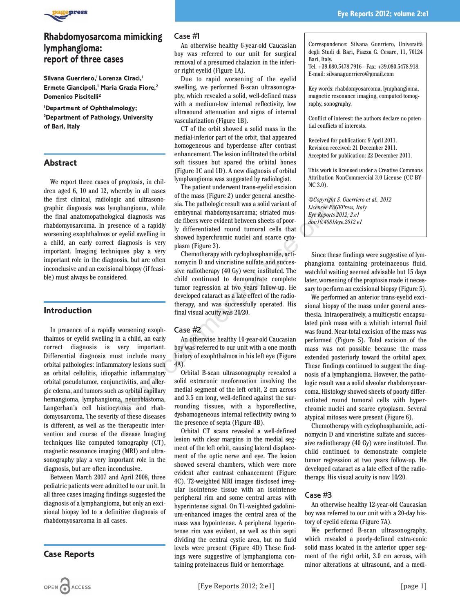

# **Rhabdomyosarcoma mimicking lymphangioma: report of three cases**

Silvana Guerriero,<sup>1</sup> Lorenza Ciracì,<sup>1</sup> **Ermete Giancipoli,1 Maria Grazia Fiore,2 Domenico Piscitelli2**

**1 Department of Ophthalmology; 2 Department of Pathology, University of Bari, Italy**

### **Abstract**

We report three cases of proptosis, in children aged 6, 10 and 12, whereby in all cases the first clinical, radiologic and ultrasonographic diagnosis was lymphangioma, while the final anatomopathological diagnosis was rhabdomyosarcoma. In presence of a rapidly worsening exophthalmos or eyelid swelling in a child, an early correct diagnosis is very important. Imaging techniques play a very important role in the diagnosis, but are often inconclusive and an excisional biopsy (if feasible) must always be considered.

### **Introduction**

In presence of a rapidly worsening exophthalmos or eyelid swelling in a child, an early correct diagnosis is very important. Differential diagnosis must include many orbital pathologies: inflammatory lesions such as orbital cellulitis, idiopathic inflammatory orbital pseudotumor, conjunctivitis, and allergic edema, and tumors such as orbital capillary hemangioma, lymphangioma, neuroblastoma, Langerhan's cell histiocytosis and rhabdomyosarcoma. The severity of these diseases is different, as well as the therapeutic intervention and course of the disease Imaging techniques like computed tomography (CT), magnetic resonance imaging (MRI) and ultrasonography play a very important role in the diagnosis, but are often inconclusive.

Between March 2007 and April 2008, three pediatric patients were admitted to our unit. In all three cases imaging findings suggested the diagnosis of a lymphangioma, but only an excisional biopsy led to a definitive diagnosis of rhabdomyosarcoma in all cases.

### **Case Reports**

#### Case #1

An otherwise healthy 6-year-old Caucasian boy was referred to our unit for surgical removal of a presumed chalazion in the inferior right eyelid (Figure 1A).

Due to rapid worsening of the eyelid swelling, we performed B-scan ultrasonography, which revealed a solid, well-defined mass with a medium-low internal reflectivity, low ultrasound attenuation and signs of internal vascularization (Figure 1B).

CT of the orbit showed a solid mass in the medial-inferior part of the orbit, that appeared homogeneous and hyperdense after contrast enhancement. The lesion infiltrated the orbital soft tissues but spared the orbital bones (Figure 1C and 1D). A new diagnosis of orbital lymphangioma was suggested by radiologist.

The patient underwent trans-eyelid excision of the mass (Figure 2) under general anesthesia. The pathologic result was a solid variant of embryonal rhabdomyosarcoma; striated muscle fibers were evident between sheets of poorly differentiated round tumoral cells that showed hyperchromic nuclei and scarce cytoplasm (Figure 3).

Chemotherapy with cyclophosphamide, actinomycin D and vincristine sulfate and successive radiotherapy (40 Gy) were instituted. The child continued to demonstrate complete tumor regression at two years follow-up. He developed cataract as a late effect of the radiotherapy, and was successfully operated. His final visual acuity was 20/20. ic and ultrasonomial of the mass original statical and ultrasonomial and the mass orbital and the more cal diagnosis was embryonal rhabdomyos<br>arcal diagnosis was embryonal rhabdomyosarcoma; striated muss<br>cal diagnosis was

#### Case #2

An otherwise healthy 10-year-old Caucasian boy was referred to our unit with a one month history of exophthalmos in his left eye (Figure 4A).

Orbital B-scan ultrasonography revealed a solid extraconic neoformation involving the medial segment of the left orbit, 2 cm across and 3.5 cm long, well-defined against the surrounding tissues, with a hyporeflective, dyshomogeneous internal reflectivity owing to the presence of septa (Figure 4B).

Orbital CT scans revealed a well-defined lesion with clear margins in the medial segment of the left orbit, causing lateral displacement of the optic nerve and eye. The lesion showed several chambers, which were more evident after contrast enhancement (Figure 4C). T2-weighted MRI images disclosed irregular isointense tissue with an isointense peripheral rim and some central areas with hyperintense signal. On T1-weighted gadolinium-enhanced images the central area of the mass was hypointense. A peripheral hyperintense rim was evident, as well as thin septi dividing the central cystic area, but no fluid levels were present (Figure 4D) These findings were suggestive of lymphangioma containing proteinaceus fluid or hemorrhage.

**Eye Reports 2012; volume 2:e1**

Tel. +39.080.5478.7916 - Fax: +39.080.5478.918. E-mail: silvanaguerriero@gmail.com

Bari, Italy.

Key words: rhabdomyosarcoma, lymphangioma, magnetic resonance imaging, computed tomography, sonography.

Conflict of interest: the authors declare no potential conflicts of interests.

Received for publication: 9 April 2011. Revision received: 21 December 2011. Accepted for publication: 22 December 2011.

This work is licensed under a Creative Commons Attribution NonCommercial 3.0 License (CC BY-NC 3.0).

*©Copyright S. Guerriero et al., 2012 Licensee PAGEPress, Italy Eye Reports 2012; 2:e1 doi:10.4081/eye.2012.e1*

Since these findings were suggestive of lymphangioma containing proteinaceous fluid, watchful waiting seemed advisable but 15 days later, worsening of the proptosis made it necessary to perform an excisional biopsy (Figure 5).

We performed an anterior trans-eyelid excisional biopsy of the mass under general anesthesia. Intraoperatively, a multicystic encapsulated pink mass with a whitish internal fluid was found. Near-total excision of the mass was performed (Figure 5). Total excision of the mass was not possible because the mass extended posteriorly toward the orbital apex. These findings continued to suggest the diagnosis of a lymphangioma. However, the pathologic result was a solid alveolar rhabdomyosarcoma. Histology showed sheets of poorly differentiated round tumoral cells with hyperchromic nuclei and scarce cytoplasm. Several atypical mitoses were present (Figure 6).

Chemotherapy with cyclophosphamide, actinomycin D and vincristine sulfate and successive radiotherapy (40 Gy) were instituted. The child continued to demonstrate complete tumor regression at two years follow-up. He developed cataract as a late effect of the radiotherapy. His visual acuity is now 10/20.

### Case #3

An otherwise healthy 12-year-old Caucasian boy was referred to our unit with a 20-day history of eyelid edema (Figure 7A).

We performed B-scan ultrasonography, which revealed a poorly-defined extra-conic solid mass located in the anterior upper segment of the right orbit, 3.0 cm across, with minor alterations at ultrasound, and a medi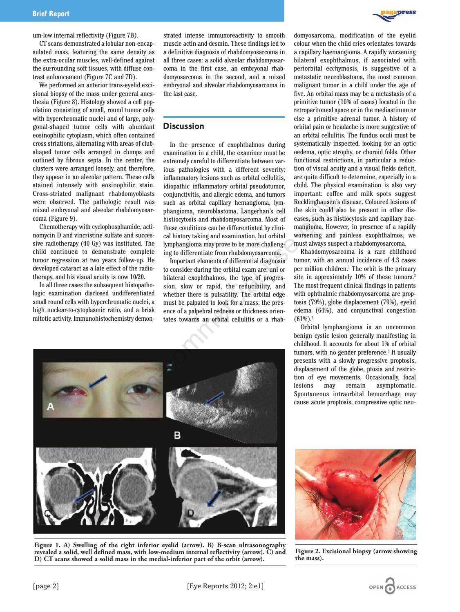um-low internal reflectivity (Figure 7B).

CT scans demonstrated a lobular non-encapsulated mass, featuring the same density as the extra-ocular muscles, well-defined against the surrounding soft tissues, with diffuse contrast enhancement (Figure 7C and 7D).

We performed an anterior trans-eyelid excisional biopsy of the mass under general anesthesia (Figure 8). Histology showed a cell population consisting of small, round tumor cells with hyperchromatic nuclei and of large, polygonal-shaped tumor cells with abundant eosinophilic cytoplasm, which often contained cross striations, alternating with areas of clubshaped tumor cells arranged in clumps and outlined by fibrous septa. In the center, the clusters were arranged loosely, and therefore, they appear in an alveolar pattern. These cells stained intensely with eosinophilic stain. Cross-striated malignant rhabdomyoblasts were observed. The pathologic result was mixed embryonal and alveolar rhabdomyosarcoma (Figure 9).

Chemotherapy with cyclophosphamide, actinomycin D and vincristine sulfate and successive radiotherapy (40 Gy) was instituted. The child continued to demonstrate complete tumor regression at two years follow-up. He developed cataract as a late effect of the radiotherapy, and his visual acuity is now 10/20.

In all three cases the subsequent histopathologic examination disclosed undifferentiated small round cells with hyperchromatic nuclei, a high nuclear-to-cytoplasmic ratio, and a brisk mitotic activity. Immunohistochemistry demon-

strated intense immunoreactivity to smooth muscle actin and desmin. These findings led to a definitive diagnosis of rhabdomyosarcoma in all three cases: a solid alveolar rhabdomyosarcoma in the first case, an embryonal rhabdomyosarcoma in the second, and a mixed embryonal and alveolar rhabdomyosarcoma in the last case.

# **Discussion**

In the presence of exophthalmos during examination in a child, the examiner must be extremely careful to differentiate between various pathologies with a different severity: inflammatory lesions such as orbital cellulitis, idiopathic inflammatory orbital pseudotumor, conjunctivitis, and allergic edema, and tumors such as orbital capillary hemangioma, lymphangioma, neuroblastoma, Langerhan's cell histiocytosis and rhabdomyosarcoma. Most of these conditions can be differentiated by clinical history taking and examination, but orbital lymphangioma may prove to be more challenging to differentiate from rhabdomyosarcoma.

Important elements of differential diagnosis to consider during the orbital exam are: uni or bilateral exophthalmos, the type of progression, slow or rapid, the reducibility, and whether there is pulsatility. The orbital edge must be palpated to look for a mass; the presence of a palpebral redness or thickness orientates towards an orbital cellulitis or a rhabdomyosarcoma, modification of the eyelid colour when the child cries orientates towards a capillary haemangioma. A rapidly worsening bilateral exophthalmus, if associated with periorbital ecchymosis, is suggestive of a metastatic neuroblastoma, the most common malignant tumor in a child under the age of five. An orbital mass may be a metastasis of a primitive tumor (10% of cases) located in the retroperitoneal space or in the mediastinum or else a primitive adrenal tumor. A history of orbital pain or headache is more suggestive of an orbital cellulitis. The fundus oculi must be systematically inspected, looking for an optic oedema, optic atrophy, or choroid folds. Other functional restrictions, in particular a reduction of visual acuity and a visual fields deficit, are quite difficult to determine, especially in a child. The physical examination is also very important: coffee and milk spots suggest Recklinghausen's disease. Coloured lesions of the skin could also be present in other diseases, such as histiocytosis and capillary haemangioma. However, in presence of a rapidly worsening and painless exophthalmos, we

must always suspect a rhabdomyosarcoma. Rhabdomyosarcoma is a rare childhood tumor, with an annual incidence of 4.3 cases per million children.1 The orbit is the primary site in approximately 10% of these tumors.<sup>2</sup> The most frequent clinical findings in patients with ophthalmic rhabdomyosarcoma are proptosis (79%), globe displacement (79%), eyelid edema (64%), and conjunctival congestion  $(61\%)$ <sup>3</sup>

Orbital lymphangioma is an uncommon benign cystic lesion generally manifesting in childhood. It accounts for about 1% of orbital tumors, with no gender preference.<sup>3</sup> It usually presents with a slowly progressive proptosis, displacement of the globe, ptosis and restriction of eye movements. Occasionally, focal lesions may remain asymptomatic. Spontaneous intraorbital hemorrhage may cause acute proptosis, compressive optic neu-



**Figure 1. A) Swelling of the right inferior eyelid (arrow). B) B-scan ultrasonography revealed a solid, well defined mass, with low-medium internal reflectivity (arrow). C) and D) CT scans showed a solid mass in the medial-inferior part of the orbit (arrow).**



**Figure 2. Excisional biopsy (arrow showing the mass).**

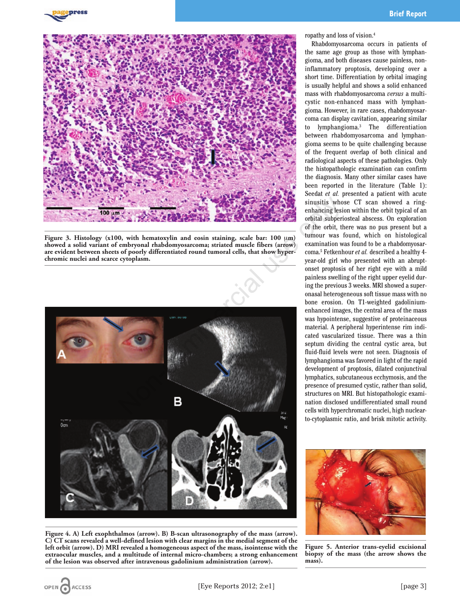

**Figure 3. Histology (x100, with hematoxylin and eosin staining, scale bar: 100** μ**m) showed a solid variant of embryonal rhabdomyosarcoma; striated muscle fibers (arrow) are evident between sheets of poorly differentiated round tumoral cells, that show hyperchromic nuclei and scarce cytoplasm.**



**Figure 4. A) Left exophthalmos (arrow). B) B-scan ultrasonography of the mass (arrow). C) CT scans revealed a well-defined lesion with clear margins in the medial segment of the left orbit (arrow). D) MRI revealed a homogeneous aspect of the mass, isointense with the extraocular muscles, and a multitude of internal micro-chambers; a strong enhancement of the lesion was observed after intravenous gadolinium administration (arrow).**

ropathy and loss of vision.4

Rhabdomyosarcoma occurs in patients of the same age group as those with lymphangioma, and both diseases cause painless, noninflammatory proptosis, developing over a short time. Differentiation by orbital imaging is usually helpful and shows a solid enhanced mass with rhabdomyosarcoma *versus* a multicystic non-enhanced mass with lymphangioma. However, in rare cases, rhabdomyosarcoma can display cavitation, appearing similar to lymphangioma.3 The differentiation between rhabdomyosarcoma and lymphangioma seems to be quite challenging because of the frequent overlap of both clinical and radiological aspects of these pathologies. Only the histopathologic examination can confirm the diagnosis. Many other similar cases have been reported in the literature (Table 1): Seedat *et al.* presented a patient with acute sinusitis whose CT scan showed a ringenhancing lesion within the orbit typical of an orbital subperiosteal abscess. On exploration of the orbit, there was no pus present but a tumour was found, which on histological examination was found to be a rhabdomyosarcoma.5 Fetkenhour *et al.* described a healthy 4 year-old girl who presented with an abruptonset proptosis of her right eye with a mild painless swelling of the right upper eyelid during the previous 3 weeks. MRI showed a superonasal heterogeneous soft tissue mass with no bone erosion. On T1-weighted gadoliniumenhanced images, the central area of the mass was hypointense, suggestive of proteinaceous material. A peripheral hyperintense rim indicated vascularized tissue. There was a thin septum dividing the central cystic area, but fluid-fluid levels were not seen. Diagnosis of lymphangioma was favored in light of the rapid development of proptosis, dilated conjunctival lymphatics, subcutaneous ecchymosis, and the presence of presumed cystic, rather than solid, structures on MRI. But histopathologic examination disclosed undifferentiated small round cells with hyperchromatic nuclei, high nuclearto-cytoplasmic ratio, and brisk mitotic activity.



**Figure 5. Anterior trans-eyelid excisional biopsy of the mass (the arrow shows the mass).**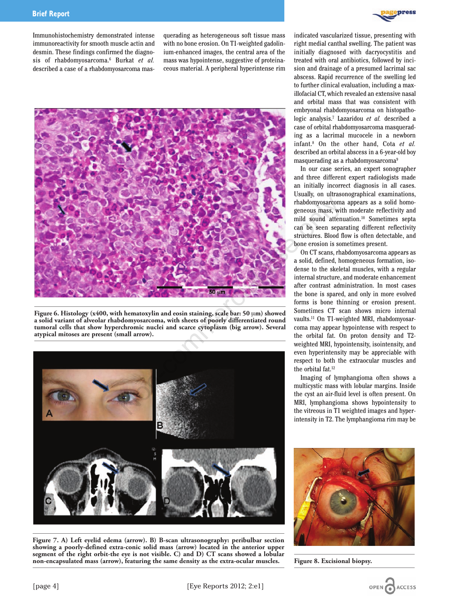Immunohistochemistry demonstrated intense immunoreactivity for smooth muscle actin and desmin. These findings confirmed the diagnosis of rhabdomyosarcoma.6 Burkat *et al.* described a case of a rhabdomyosarcoma masquerading as heterogeneous soft tissue mass with no bone erosion. On T1-weighted gadolinium-enhanced images, the central area of the mass was hypointense, suggestive of proteinaceous material. A peripheral hyperintense rim



**Figure 6. Histology (x400, with hematoxylin and eosin staining, scale bar: 50** μ**m) showed a solid variant of alveolar rhabdomyosarcoma, with sheets of poorly differentiated round tumoral cells that show hyperchromic nuclei and scarce cytoplasm (big arrow). Several atypical mitoses are present (small arrow).**



**Figure 7. A) Left eyelid edema (arrow). B) B-scan ultrasonography: peribulbar section showing a poorly-defined extra-conic solid mass (arrow) located in the anterior upper segment of the right orbit-the eye is not visible. C) and D) CT scans showed a lobular non-encapsulated mass (arrow), featuring the same density as the extra-ocular muscles.**



indicated vascularized tissue, presenting with right medial canthal swelling. The patient was initially diagnosed with dacryocystitis and treated with oral antibiotics, followed by incision and drainage of a presumed lacrimal sac abscess. Rapid recurrence of the swelling led to further clinical evaluation, including a maxillofacial CT, which revealed an extensive nasal and orbital mass that was consistent with embryonal rhabdomyosarcoma on histopathologic analysis.7 Lazaridou *et al.* described a case of orbital rhabdomyosarcoma masquerading as a lacrimal mucocele in a newborn infant.8 On the other hand, Cota *et al.* described an orbital abscess in a 6-year-old boy masquerading as a rhabdomyosarcoma<sup>9</sup>

In our case series, an expert sonographer and three different expert radiologists made an initially incorrect diagnosis in all cases. Usually, on ultrasonographical examinations, rhabdomyosarcoma appears as a solid homogeneous mass, with moderate reflectivity and mild sound attenuation.10 Sometimes septa can be seen separating different reflectivity structures. Blood flow is often detectable, and bone erosion is sometimes present.

On CT scans, rhabdomyosarcoma appears as a solid, defined, homogeneous formation, isodense to the skeletal muscles, with a regular internal structure, and moderate enhancement after contrast administration. In most cases the bone is spared, and only in more evolved forms is bone thinning or erosion present. Sometimes CT scan shows micro internal vaults.11 On T1-weighted MRI, rhabdomyosarcoma may appear hypointense with respect to the orbital fat. On proton density and T2 weighted MRI, hypointensity, isointensity, and even hyperintensity may be appreciable with respect to both the extraocular muscles and the orbital fat.12

Imaging of lymphangioma often shows a multicystic mass with lobular margins. Inside the cyst an air-fluid level is often present. On MRI, lymphangioma shows hypointensity to the vitreous in T1 weighted images and hyperintensity in T2. The lymphangioma rim may be



**Figure 8. Excisional biopsy.**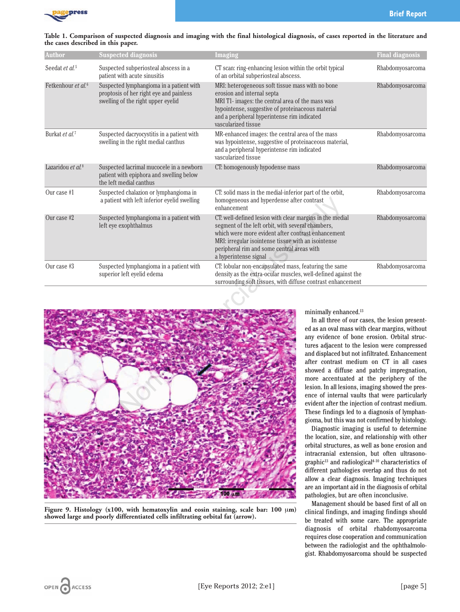

| Table 1. Comparison of suspected diagnosis and imaging with the final histological diagnosis, of cases reported in the literature and |  |  |  |
|---------------------------------------------------------------------------------------------------------------------------------------|--|--|--|
| the cases described in this paper.                                                                                                    |  |  |  |

| <b>Author</b>                  | <b>Suspected diagnosis</b>                                                                                                | Imaging                                                                                                                                                                                                                                                                                           | <b>Final diagnosis</b> |
|--------------------------------|---------------------------------------------------------------------------------------------------------------------------|---------------------------------------------------------------------------------------------------------------------------------------------------------------------------------------------------------------------------------------------------------------------------------------------------|------------------------|
| Seedat et al. <sup>5</sup>     | Suspected subperiosteal abscess in a<br>patient with acute sinusitis                                                      | CT scan: ring-enhancing lesion within the orbit typical<br>of an orbital subperiosteal abscess.                                                                                                                                                                                                   | Rhabdomyosarcoma       |
| Fetkenhour et al. <sup>6</sup> | Suspected lymphangioma in a patient with<br>proptosis of her right eye and painless<br>swelling of the right upper eyelid | MRI: heterogeneous soft tissue mass with no bone<br>erosion and internal septa<br>MRI T1- images: the central area of the mass was<br>hypointense, suggestive of proteinaceous material<br>and a peripheral hyperintense rim indicated<br>vascularized tissue                                     | Rhabdomyosarcoma       |
| Burkat et al. <sup>7</sup>     | Suspected dacryocystitis in a patient with<br>swelling in the right medial canthus                                        | MR-enhanced images: the central area of the mass<br>was hypointense, suggestive of proteinaceous material,<br>and a peripheral hyperintense rim indicated<br>vascularized tissue                                                                                                                  | Rhabdomyosarcoma       |
| Lazaridou et al. <sup>8</sup>  | Suspected lacrimal mucocele in a newborn<br>patient with epiphora and swelling below<br>the left medial canthus           | CT: homogenously hypodense mass                                                                                                                                                                                                                                                                   | Rhabdomyosarcoma       |
| Our case #1                    | Suspected chalazion or lymphangioma in<br>a patient with left inferior eyelid swelling                                    | CT: solid mass in the medial-inferior part of the orbit,<br>homogeneous and hyperdense after contrast<br>enhancement                                                                                                                                                                              | Rhabdomyosarcoma       |
| Our case #2                    | Suspected lymphangioma in a patient with<br>left eye exophthalmus                                                         | CT: well-defined lesion with clear margins in the medial<br>segment of the left orbit, with several chambers,<br>which were more evident after contrast enhancement<br>MRI: irregular isointense tissue with an isointense<br>peripheral rim and some central areas with<br>a hyperintense signal | Rhabdomyosarcoma       |
| Our case #3                    | Suspected lymphangioma in a patient with<br>superior left eyelid edema                                                    | CT: lobular non-encapsulated mass, featuring the same<br>density as the extra-ocular muscles, well-defined against the<br>surrounding soft tissues, with diffuse contrast enhancement                                                                                                             | Rhabdomyosarcoma       |



**Figure 9. Histology (x100, with hematoxylin and eosin staining, scale bar: 100** μ**m) showed large and poorly differentiated cells infiltrating orbital fat (arrow).**

minimally enhanced.<sup>13</sup>

In all three of our cases, the lesion presented as an oval mass with clear margins, without any evidence of bone erosion. Orbital structures adjacent to the lesion were compressed and displaced but not infiltrated. Enhancement after contrast medium on CT in all cases showed a diffuse and patchy impregnation, more accentuated at the periphery of the lesion. In all lesions, imaging showed the presence of internal vaults that were particularly evident after the injection of contrast medium. These findings led to a diagnosis of lymphangioma, but this was not confirmed by histology.

Diagnostic imaging is useful to determine the location, size, and relationship with other orbital structures, as well as bone erosion and intracranial extension, but often ultrasonographic<sup>13</sup> and radiological<sup>4-10</sup> characteristics of different pathologies overlap and thus do not allow a clear diagnosis. Imaging techniques are an important aid in the diagnosis of orbital pathologies, but are often inconclusive.

Management should be based first of all on clinical findings, and imaging findings should be treated with some care. The appropriate diagnosis of orbital rhabdomyosarcoma requires close cooperation and communication between the radiologist and the ophthalmologist. Rhabdomyosarcoma should be suspected